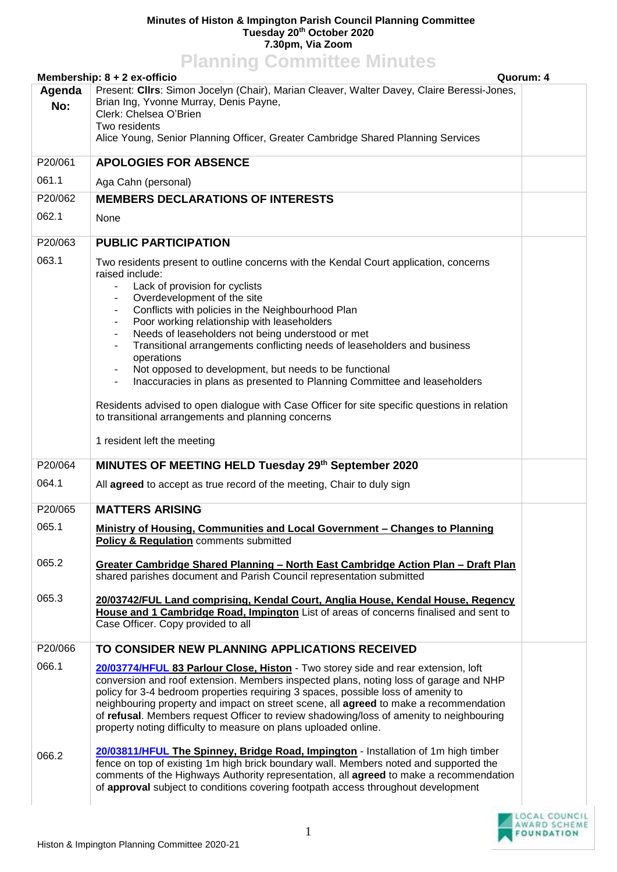## **Minutes of Histon & Impington Parish Council Planning Committee Tuesday 20 th October 2020 7.30pm, Via Zoom Planning Committee Minutes**

| <b>FIGHTING COMMUTES MINUTES</b><br>Quorum: 4<br>Membership: 8 + 2 ex-officio                        |                                                                                                                                                                                                                                                                                                                                                                                                                                                                                                                                                                                                                                                                                                                                                                                                             |  |  |
|------------------------------------------------------------------------------------------------------|-------------------------------------------------------------------------------------------------------------------------------------------------------------------------------------------------------------------------------------------------------------------------------------------------------------------------------------------------------------------------------------------------------------------------------------------------------------------------------------------------------------------------------------------------------------------------------------------------------------------------------------------------------------------------------------------------------------------------------------------------------------------------------------------------------------|--|--|
| Present: Cllrs: Simon Jocelyn (Chair), Marian Cleaver, Walter Davey, Claire Beressi-Jones,<br>Agenda |                                                                                                                                                                                                                                                                                                                                                                                                                                                                                                                                                                                                                                                                                                                                                                                                             |  |  |
| No:                                                                                                  | Brian Ing, Yvonne Murray, Denis Payne,<br>Clerk: Chelsea O'Brien                                                                                                                                                                                                                                                                                                                                                                                                                                                                                                                                                                                                                                                                                                                                            |  |  |
|                                                                                                      | Two residents                                                                                                                                                                                                                                                                                                                                                                                                                                                                                                                                                                                                                                                                                                                                                                                               |  |  |
|                                                                                                      | Alice Young, Senior Planning Officer, Greater Cambridge Shared Planning Services                                                                                                                                                                                                                                                                                                                                                                                                                                                                                                                                                                                                                                                                                                                            |  |  |
| P20/061                                                                                              | <b>APOLOGIES FOR ABSENCE</b>                                                                                                                                                                                                                                                                                                                                                                                                                                                                                                                                                                                                                                                                                                                                                                                |  |  |
| 061.1                                                                                                | Aga Cahn (personal)                                                                                                                                                                                                                                                                                                                                                                                                                                                                                                                                                                                                                                                                                                                                                                                         |  |  |
| P20/062                                                                                              | <b>MEMBERS DECLARATIONS OF INTERESTS</b>                                                                                                                                                                                                                                                                                                                                                                                                                                                                                                                                                                                                                                                                                                                                                                    |  |  |
| 062.1                                                                                                | None                                                                                                                                                                                                                                                                                                                                                                                                                                                                                                                                                                                                                                                                                                                                                                                                        |  |  |
| P20/063                                                                                              | <b>PUBLIC PARTICIPATION</b>                                                                                                                                                                                                                                                                                                                                                                                                                                                                                                                                                                                                                                                                                                                                                                                 |  |  |
| 063.1                                                                                                | Two residents present to outline concerns with the Kendal Court application, concerns<br>raised include:<br>Lack of provision for cyclists<br>Overdevelopment of the site<br>Conflicts with policies in the Neighbourhood Plan<br>$\blacksquare$<br>Poor working relationship with leaseholders<br>$\blacksquare$<br>Needs of leaseholders not being understood or met<br>Transitional arrangements conflicting needs of leaseholders and business<br>$\blacksquare$<br>operations<br>Not opposed to development, but needs to be functional<br>Inaccuracies in plans as presented to Planning Committee and leaseholders<br>$\overline{\phantom{a}}$<br>Residents advised to open dialogue with Case Officer for site specific questions in relation<br>to transitional arrangements and planning concerns |  |  |
|                                                                                                      | 1 resident left the meeting                                                                                                                                                                                                                                                                                                                                                                                                                                                                                                                                                                                                                                                                                                                                                                                 |  |  |
| P20/064                                                                                              | MINUTES OF MEETING HELD Tuesday 29th September 2020                                                                                                                                                                                                                                                                                                                                                                                                                                                                                                                                                                                                                                                                                                                                                         |  |  |
| 064.1                                                                                                | All agreed to accept as true record of the meeting, Chair to duly sign                                                                                                                                                                                                                                                                                                                                                                                                                                                                                                                                                                                                                                                                                                                                      |  |  |
| P20/065                                                                                              | <b>MATTERS ARISING</b>                                                                                                                                                                                                                                                                                                                                                                                                                                                                                                                                                                                                                                                                                                                                                                                      |  |  |
| 065.1                                                                                                | Ministry of Housing, Communities and Local Government - Changes to Planning<br>Policy & Regulation comments submitted                                                                                                                                                                                                                                                                                                                                                                                                                                                                                                                                                                                                                                                                                       |  |  |
| 065.2                                                                                                | <u><b>Greater Cambridge Shared Planning - North East Cambridge Action Plan - Draft Plan</b></u><br>shared parishes document and Parish Council representation submitted                                                                                                                                                                                                                                                                                                                                                                                                                                                                                                                                                                                                                                     |  |  |
| 065.3                                                                                                | 20/03742/FUL Land comprising, Kendal Court, Anglia House, Kendal House, Regency<br>House and 1 Cambridge Road, Impington List of areas of concerns finalised and sent to<br>Case Officer. Copy provided to all                                                                                                                                                                                                                                                                                                                                                                                                                                                                                                                                                                                              |  |  |
| P20/066                                                                                              | TO CONSIDER NEW PLANNING APPLICATIONS RECEIVED                                                                                                                                                                                                                                                                                                                                                                                                                                                                                                                                                                                                                                                                                                                                                              |  |  |
| 066.1                                                                                                | 20/03774/HFUL 83 Parlour Close, Histon - Two storey side and rear extension, loft<br>conversion and roof extension. Members inspected plans, noting loss of garage and NHP<br>policy for 3-4 bedroom properties requiring 3 spaces, possible loss of amenity to<br>neighbouring property and impact on street scene, all <b>agreed</b> to make a recommendation<br>of refusal. Members request Officer to review shadowing/loss of amenity to neighbouring<br>property noting difficulty to measure on plans uploaded online.                                                                                                                                                                                                                                                                               |  |  |
| 066.2                                                                                                | 20/03811/HFUL The Spinney, Bridge Road, Impington - Installation of 1m high timber<br>fence on top of existing 1m high brick boundary wall. Members noted and supported the<br>comments of the Highways Authority representation, all agreed to make a recommendation<br>of approval subject to conditions covering footpath access throughout development                                                                                                                                                                                                                                                                                                                                                                                                                                                  |  |  |

LOCAL COUNCIL